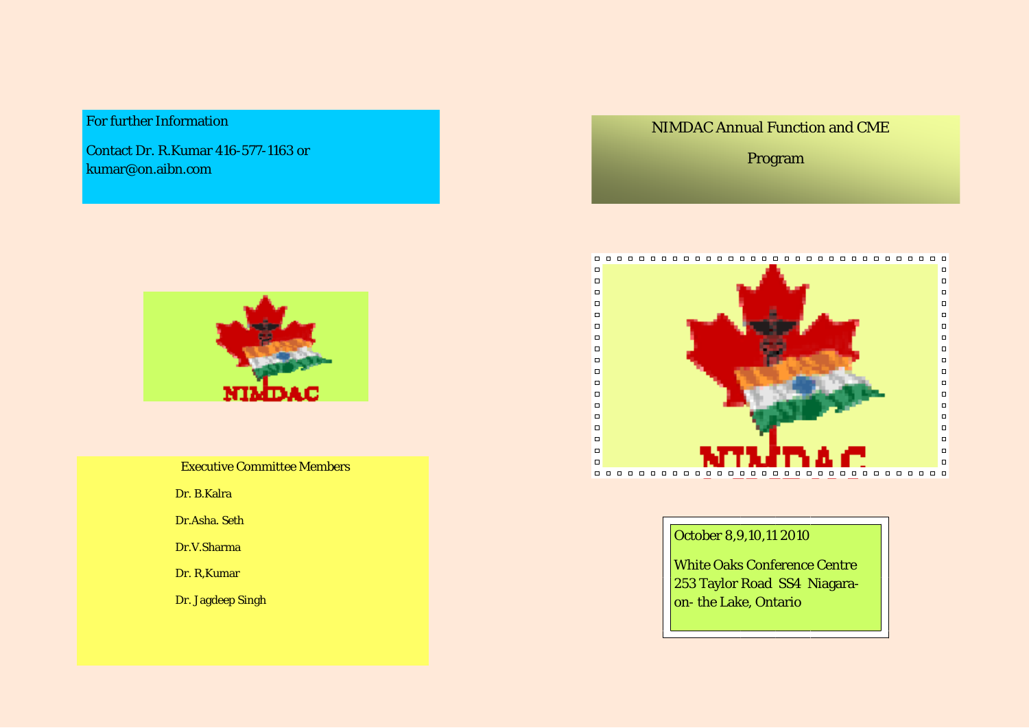For further Information

Contact Dr. R.Kumar 416-577-1163 or kumar@on.aibn.com



|  | <b>Executive Committee Members</b> |  |
|--|------------------------------------|--|
|--|------------------------------------|--|

**Dr. B.Kalra** 

Dr.Asha. Seth

**Dr.V.Sharma** 

Dr. R,Kumar

Dr. Jagdeep Singh

**NIMDAC Annual Function and CME** 

Program



## October 8,9,10,11 2010

White Oaks Conference Centre 253 Taylor Road SS4 Niagaraon- the Lake, Ontario